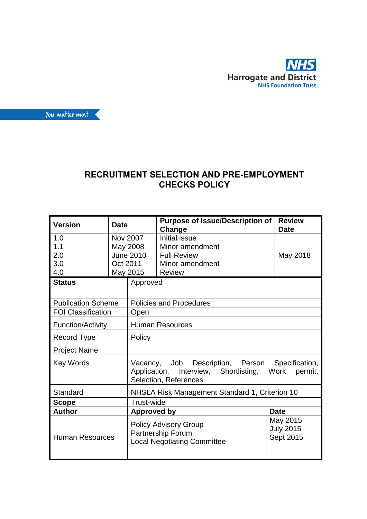



## **RECRUITMENT SELECTION AND PRE-EMPLOYMENT CHECKS POLICY**

| <b>Version</b>                  | <b>Date</b>                                                                             |                                                                                                                                      | <b>Review</b><br><b>Purpose of Issue/Description of</b><br>Change<br><b>Date</b>    |          |  |  |
|---------------------------------|-----------------------------------------------------------------------------------------|--------------------------------------------------------------------------------------------------------------------------------------|-------------------------------------------------------------------------------------|----------|--|--|
| 1.0<br>1.1<br>2.0<br>3.0<br>4.0 | Nov 2007<br>May 2008<br><b>June 2010</b><br>Oct 2011<br>May 2015                        |                                                                                                                                      | Initial issue<br>Minor amendment<br><b>Full Review</b><br>Minor amendment<br>Review | May 2018 |  |  |
| <b>Status</b>                   |                                                                                         | Approved                                                                                                                             |                                                                                     |          |  |  |
| <b>Publication Scheme</b>       |                                                                                         |                                                                                                                                      | <b>Policies and Procedures</b>                                                      |          |  |  |
| <b>FOI Classification</b>       |                                                                                         | Open                                                                                                                                 |                                                                                     |          |  |  |
| <b>Function/Activity</b>        |                                                                                         | <b>Human Resources</b>                                                                                                               |                                                                                     |          |  |  |
| <b>Record Type</b>              |                                                                                         | Policy                                                                                                                               |                                                                                     |          |  |  |
| <b>Project Name</b>             |                                                                                         |                                                                                                                                      |                                                                                     |          |  |  |
| <b>Key Words</b>                |                                                                                         | Vacancy, Job Description, Person Specification,<br>Application, Interview, Shortlisting,<br>Work<br>permit.<br>Selection, References |                                                                                     |          |  |  |
| Standard                        |                                                                                         | NHSLA Risk Management Standard 1, Criterion 10                                                                                       |                                                                                     |          |  |  |
| <b>Scope</b>                    |                                                                                         | Trust-wide                                                                                                                           |                                                                                     |          |  |  |
| <b>Author</b>                   |                                                                                         | Approved by                                                                                                                          | <b>Date</b>                                                                         |          |  |  |
| <b>Human Resources</b>          | <b>Policy Advisory Group</b><br>Partnership Forum<br><b>Local Negotiating Committee</b> |                                                                                                                                      | May 2015<br><b>July 2015</b><br>Sept 2015                                           |          |  |  |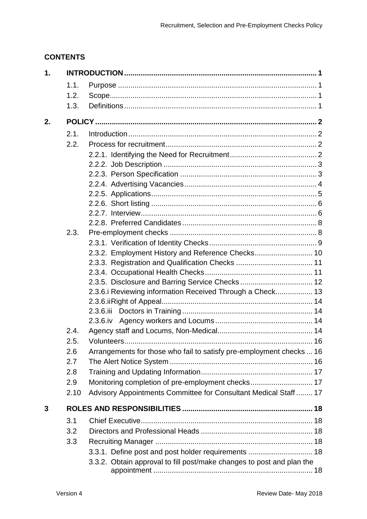## **CONTENTS**

| 1. |      |                                                                       |  |
|----|------|-----------------------------------------------------------------------|--|
|    | 1.1. |                                                                       |  |
|    | 1.2. |                                                                       |  |
|    | 1.3. |                                                                       |  |
| 2. |      |                                                                       |  |
|    | 2.1. |                                                                       |  |
|    | 2.2. |                                                                       |  |
|    |      |                                                                       |  |
|    |      |                                                                       |  |
|    |      |                                                                       |  |
|    |      |                                                                       |  |
|    |      |                                                                       |  |
|    |      |                                                                       |  |
|    |      |                                                                       |  |
|    |      |                                                                       |  |
|    | 2.3. |                                                                       |  |
|    |      |                                                                       |  |
|    |      | 2.3.2. Employment History and Reference Checks 10                     |  |
|    |      |                                                                       |  |
|    |      |                                                                       |  |
|    |      | 2.3.5. Disclosure and Barring Service Checks 12                       |  |
|    |      | 2.3.6. i Reviewing information Received Through a Check 13            |  |
|    |      |                                                                       |  |
|    |      |                                                                       |  |
|    |      | $2.3.6$ .iv                                                           |  |
|    | 2.4. |                                                                       |  |
|    | 2.5. |                                                                       |  |
|    | 2.6  | Arrangements for those who fail to satisfy pre-employment checks  16  |  |
|    | 2.7  |                                                                       |  |
|    | 2.8  |                                                                       |  |
|    | 2.9  | Monitoring completion of pre-employment checks 17                     |  |
|    | 2.10 | Advisory Appointments Committee for Consultant Medical Staff  17      |  |
| 3  |      |                                                                       |  |
|    | 3.1  |                                                                       |  |
|    | 3.2  |                                                                       |  |
|    | 3.3  |                                                                       |  |
|    |      | 3.3.1. Define post and post holder requirements  18                   |  |
|    |      | 3.3.2. Obtain approval to fill post/make changes to post and plan the |  |
|    |      |                                                                       |  |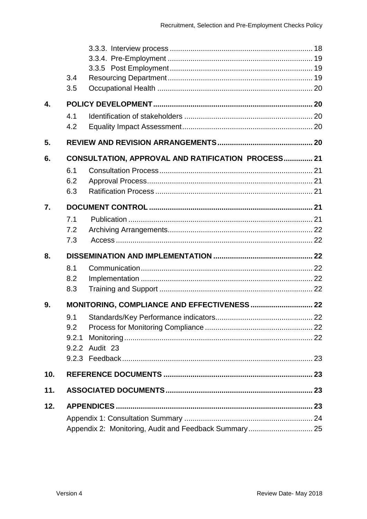|     | 3.4   |                                                       |  |
|-----|-------|-------------------------------------------------------|--|
|     | 3.5   |                                                       |  |
| 4.  |       |                                                       |  |
|     | 4.1   |                                                       |  |
|     | 4.2   |                                                       |  |
| 5.  |       |                                                       |  |
| 6.  |       | CONSULTATION, APPROVAL AND RATIFICATION PROCESS 21    |  |
|     | 6.1   |                                                       |  |
|     | 6.2   |                                                       |  |
|     | 6.3   |                                                       |  |
| 7.  |       |                                                       |  |
|     | 7.1   |                                                       |  |
|     | 7.2   |                                                       |  |
|     | 7.3   |                                                       |  |
| 8.  |       |                                                       |  |
|     | 8.1   |                                                       |  |
|     | 8.2   |                                                       |  |
|     | 8.3   |                                                       |  |
| 9.  |       |                                                       |  |
|     | 9.1   |                                                       |  |
|     | 9.2   |                                                       |  |
|     | 9.2.1 |                                                       |  |
|     |       | 9.2.2 Audit 23                                        |  |
|     |       |                                                       |  |
| 10. |       |                                                       |  |
| 11. |       |                                                       |  |
| 12. |       |                                                       |  |
|     |       |                                                       |  |
|     |       | Appendix 2: Monitoring, Audit and Feedback Summary 25 |  |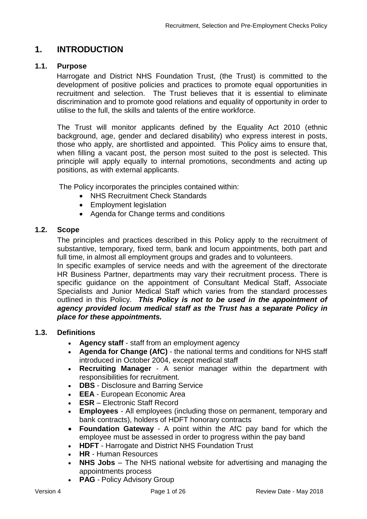## <span id="page-3-0"></span>**1. INTRODUCTION**

### <span id="page-3-1"></span>**1.1. Purpose**

Harrogate and District NHS Foundation Trust, (the Trust) is committed to the development of positive policies and practices to promote equal opportunities in recruitment and selection. The Trust believes that it is essential to eliminate discrimination and to promote good relations and equality of opportunity in order to utilise to the full, the skills and talents of the entire workforce.

The Trust will monitor applicants defined by the Equality Act 2010 (ethnic background, age, gender and declared disability) who express interest in posts, those who apply, are shortlisted and appointed. This Policy aims to ensure that, when filling a vacant post, the person most suited to the post is selected. This principle will apply equally to internal promotions, secondments and acting up positions, as with external applicants.

The Policy incorporates the principles contained within:

- NHS Recruitment Check Standards
- Employment legislation
- Agenda for Change terms and conditions

## <span id="page-3-2"></span>**1.2. Scope**

The principles and practices described in this Policy apply to the recruitment of substantive, temporary, fixed term, bank and locum appointments, both part and full time, in almost all employment groups and grades and to volunteers.

In specific examples of service needs and with the agreement of the directorate HR Business Partner, departments may vary their recruitment process. There is specific guidance on the appointment of Consultant Medical Staff, Associate Specialists and Junior Medical Staff which varies from the standard processes outlined in this Policy. *This Policy is not to be used in the appointment of agency provided locum medical staff as the Trust has a separate Policy in place for these appointments.*

### <span id="page-3-3"></span>**1.3. Definitions**

- **Agency staff**  staff from an employment agency
- **Agenda for Change (AfC)**  the national terms and conditions for NHS staff introduced in October 2004, except medical staff
- **Recruiting Manager**  A senior manager within the department with responsibilities for recruitment.
- **DBS** Disclosure and Barring Service
- **EEA** European Economic Area
- **ESR** Electronic Staff Record
- **Employees** All employees (including those on permanent, temporary and bank contracts), holders of HDFT honorary contracts
- **Foundation Gateway**  A point within the AfC pay band for which the employee must be assessed in order to progress within the pay band
- **HDFT** Harrogate and District NHS Foundation Trust
- **HR** Human Resources
- **NHS Jobs** The NHS national website for advertising and managing the appointments process
- **PAG** Policy Advisory Group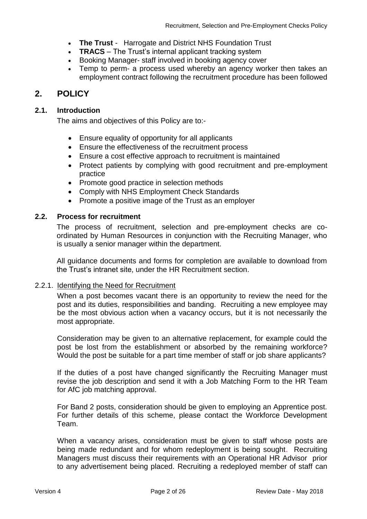- **The Trust** Harrogate and District NHS Foundation Trust
- **TRACS** The Trust's internal applicant tracking system
- Booking Manager- staff involved in booking agency cover
- Temp to perm- a process used whereby an agency worker then takes an employment contract following the recruitment procedure has been followed

## <span id="page-4-0"></span>**2. POLICY**

### <span id="page-4-1"></span>**2.1. Introduction**

The aims and objectives of this Policy are to:-

- Ensure equality of opportunity for all applicants
- Ensure the effectiveness of the recruitment process
- Ensure a cost effective approach to recruitment is maintained
- Protect patients by complying with good recruitment and pre-employment practice
- Promote good practice in selection methods
- Comply with NHS Employment Check Standards
- Promote a positive image of the Trust as an employer

### <span id="page-4-2"></span>**2.2. Process for recruitment**

The process of recruitment, selection and pre-employment checks are coordinated by Human Resources in conjunction with the Recruiting Manager, who is usually a senior manager within the department.

All guidance documents and forms for completion are available to download from the Trust's intranet site, under the HR Recruitment section.

### <span id="page-4-3"></span>2.2.1. Identifying the Need for Recruitment

When a post becomes vacant there is an opportunity to review the need for the post and its duties, responsibilities and banding. Recruiting a new employee may be the most obvious action when a vacancy occurs, but it is not necessarily the most appropriate.

Consideration may be given to an alternative replacement, for example could the post be lost from the establishment or absorbed by the remaining workforce? Would the post be suitable for a part time member of staff or job share applicants?

If the duties of a post have changed significantly the Recruiting Manager must revise the job description and send it with a Job Matching Form to the HR Team for AfC job matching approval.

For Band 2 posts, consideration should be given to employing an Apprentice post. For further details of this scheme, please contact the Workforce Development Team.

When a vacancy arises, consideration must be given to staff whose posts are being made redundant and for whom redeployment is being sought. Recruiting Managers must discuss their requirements with an Operational HR Advisor prior to any advertisement being placed. Recruiting a redeployed member of staff can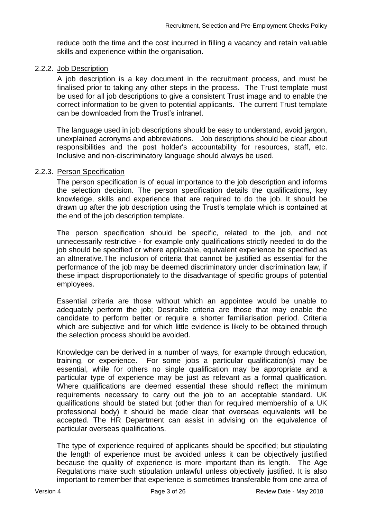reduce both the time and the cost incurred in filling a vacancy and retain valuable skills and experience within the organisation.

#### <span id="page-5-0"></span>2.2.2. Job Description

A job description is a key document in the recruitment process, and must be finalised prior to taking any other steps in the process. The Trust template must be used for all job descriptions to give a consistent Trust image and to enable the correct information to be given to potential applicants. The current Trust template can be downloaded from the Trust's intranet.

The language used in job descriptions should be easy to understand, avoid jargon, unexplained acronyms and abbreviations. Job descriptions should be clear about responsibilities and the post holder's accountability for resources, staff, etc. Inclusive and non-discriminatory language should always be used.

#### <span id="page-5-1"></span>2.2.3. Person Specification

The person specification is of equal importance to the job description and informs the selection decision. The person specification details the qualifications, key knowledge, skills and experience that are required to do the job. It should be drawn up after the job description using the Trust's template which is contained at the end of the job description template.

The person specification should be specific, related to the job, and not unnecessarily restrictive - for example only qualifications strictly needed to do the job should be specified or where applicable, equivalent experience be specified as an altnerative.The inclusion of criteria that cannot be justified as essential for the performance of the job may be deemed discriminatory under discrimination law, if these impact disproportionately to the disadvantage of specific groups of potential employees.

Essential criteria are those without which an appointee would be unable to adequately perform the job; Desirable criteria are those that may enable the candidate to perform better or require a shorter familiarisation period. Criteria which are subjective and for which little evidence is likely to be obtained through the selection process should be avoided.

Knowledge can be derived in a number of ways, for example through education, training, or experience. For some jobs a particular qualification(s) may be essential, while for others no single qualification may be appropriate and a particular type of experience may be just as relevant as a formal qualification. Where qualifications are deemed essential these should reflect the minimum requirements necessary to carry out the job to an acceptable standard. UK qualifications should be stated but (other than for required membership of a UK professional body) it should be made clear that overseas equivalents will be accepted. The HR Department can assist in advising on the equivalence of particular overseas qualifications.

The type of experience required of applicants should be specified; but stipulating the length of experience must be avoided unless it can be objectively justified because the quality of experience is more important than its length. The Age Regulations make such stipulation unlawful unless objectively justified. It is also important to remember that experience is sometimes transferable from one area of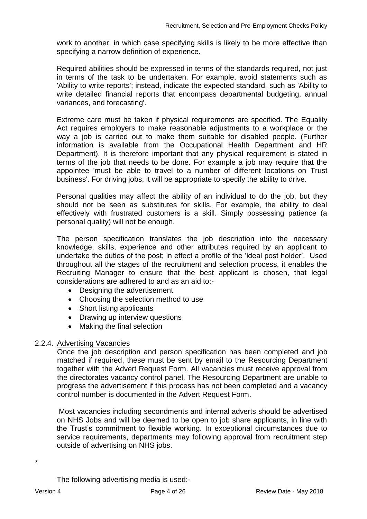work to another, in which case specifying skills is likely to be more effective than specifying a narrow definition of experience.

Required abilities should be expressed in terms of the standards required, not just in terms of the task to be undertaken. For example, avoid statements such as 'Ability to write reports'; instead, indicate the expected standard, such as 'Ability to write detailed financial reports that encompass departmental budgeting, annual variances, and forecasting'.

Extreme care must be taken if physical requirements are specified. The Equality Act requires employers to make reasonable adjustments to a workplace or the way a job is carried out to make them suitable for disabled people. (Further information is available from the Occupational Health Department and HR Department). It is therefore important that any physical requirement is stated in terms of the job that needs to be done. For example a job may require that the appointee 'must be able to travel to a number of different locations on Trust business'. For driving jobs, it will be appropriate to specify the ability to drive.

Personal qualities may affect the ability of an individual to do the job, but they should not be seen as substitutes for skills. For example, the ability to deal effectively with frustrated customers is a skill. Simply possessing patience (a personal quality) will not be enough.

The person specification translates the job description into the necessary knowledge, skills, experience and other attributes required by an applicant to undertake the duties of the post; in effect a profile of the 'ideal post holder'. Used throughout all the stages of the recruitment and selection process, it enables the Recruiting Manager to ensure that the best applicant is chosen, that legal considerations are adhered to and as an aid to:-

- Designing the advertisement
- Choosing the selection method to use
- Short listing applicants
- Drawing up interview questions
- Making the final selection

### <span id="page-6-0"></span>2.2.4. Advertising Vacancies

Once the job description and person specification has been completed and job matched if required, these must be sent by email to the Resourcing Department together with the Advert Request Form. All vacancies must receive approval from the directorates vacancy control panel. The Resourcing Department are unable to progress the advertisement if this process has not been completed and a vacancy control number is documented in the Advert Request Form.

Most vacancies including secondments and internal adverts should be advertised on NHS Jobs and will be deemed to be open to job share applicants, in line with the Trust's commitment to flexible working. In exceptional circumstances due to service requirements, departments may following approval from recruitment step outside of advertising on NHS jobs.

The following advertising media is used:-

\*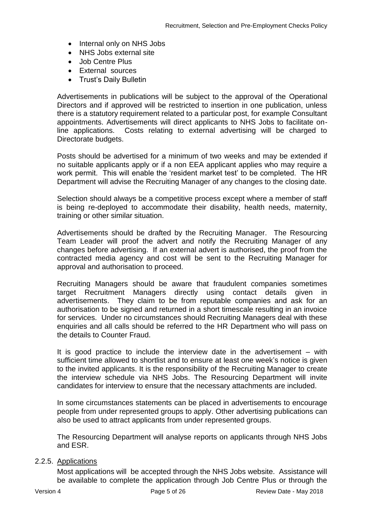- Internal only on NHS Jobs
- NHS Jobs external site
- Job Centre Plus
- External sources
- Trust's Daily Bulletin

Advertisements in publications will be subject to the approval of the Operational Directors and if approved will be restricted to insertion in one publication, unless there is a statutory requirement related to a particular post, for example Consultant appointments. Advertisements will direct applicants to NHS Jobs to facilitate online applications. Costs relating to external advertising will be charged to Directorate budgets.

Posts should be advertised for a minimum of two weeks and may be extended if no suitable applicants apply or if a non EEA applicant applies who may require a work permit. This will enable the 'resident market test' to be completed. The HR Department will advise the Recruiting Manager of any changes to the closing date.

Selection should always be a competitive process except where a member of staff is being re-deployed to accommodate their disability, health needs, maternity, training or other similar situation.

Advertisements should be drafted by the Recruiting Manager. The Resourcing Team Leader will proof the advert and notify the Recruiting Manager of any changes before advertising. If an external advert is authorised, the proof from the contracted media agency and cost will be sent to the Recruiting Manager for approval and authorisation to proceed.

Recruiting Managers should be aware that fraudulent companies sometimes target Recruitment Managers directly using contact details given in advertisements. They claim to be from reputable companies and ask for an authorisation to be signed and returned in a short timescale resulting in an invoice for services. Under no circumstances should Recruiting Managers deal with these enquiries and all calls should be referred to the HR Department who will pass on the details to Counter Fraud.

It is good practice to include the interview date in the advertisement – with sufficient time allowed to shortlist and to ensure at least one week's notice is given to the invited applicants. It is the responsibility of the Recruiting Manager to create the interview schedule via NHS Jobs. The Resourcing Department will invite candidates for interview to ensure that the necessary attachments are included.

In some circumstances statements can be placed in advertisements to encourage people from under represented groups to apply. Other advertising publications can also be used to attract applicants from under represented groups.

The Resourcing Department will analyse reports on applicants through NHS Jobs and ESR.

#### <span id="page-7-0"></span>2.2.5. Applications

Most applications will be accepted through the NHS Jobs website. Assistance will be available to complete the application through Job Centre Plus or through the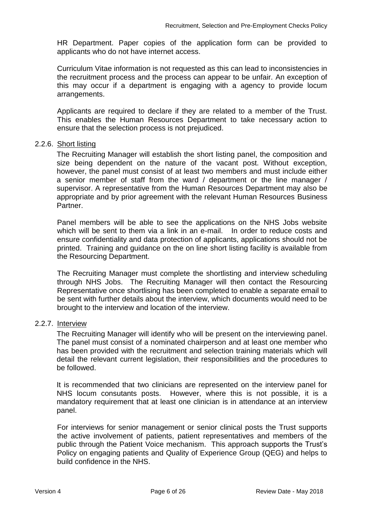HR Department. Paper copies of the application form can be provided to applicants who do not have internet access.

Curriculum Vitae information is not requested as this can lead to inconsistencies in the recruitment process and the process can appear to be unfair. An exception of this may occur if a department is engaging with a agency to provide locum arrangements.

Applicants are required to declare if they are related to a member of the Trust. This enables the Human Resources Department to take necessary action to ensure that the selection process is not prejudiced.

#### <span id="page-8-0"></span>2.2.6. Short listing

The Recruiting Manager will establish the short listing panel, the composition and size being dependent on the nature of the vacant post. Without exception, however, the panel must consist of at least two members and must include either a senior member of staff from the ward / department or the line manager / supervisor. A representative from the Human Resources Department may also be appropriate and by prior agreement with the relevant Human Resources Business Partner.

Panel members will be able to see the applications on the NHS Jobs website which will be sent to them via a link in an e-mail. In order to reduce costs and ensure confidentiality and data protection of applicants, applications should not be printed. Training and guidance on the on line short listing facility is available from the Resourcing Department.

The Recruiting Manager must complete the shortlisting and interview scheduling through NHS Jobs. The Recruiting Manager will then contact the Resourcing Representative once shortlising has been completed to enable a separate email to be sent with further details about the interview, which documents would need to be brought to the interview and location of the interview.

#### <span id="page-8-1"></span>2.2.7. Interview

The Recruiting Manager will identify who will be present on the interviewing panel. The panel must consist of a nominated chairperson and at least one member who has been provided with the recruitment and selection training materials which will detail the relevant current legislation, their responsibilities and the procedures to be followed.

It is recommended that two clinicians are represented on the interview panel for NHS locum consutants posts. However, where this is not possible, it is a mandatory requirement that at least one clinician is in attendance at an interview panel.

For interviews for senior management or senior clinical posts the Trust supports the active involvement of patients, patient representatives and members of the public through the Patient Voice mechanism. This approach supports the Trust's Policy on engaging patients and Quality of Experience Group (QEG) and helps to build confidence in the NHS.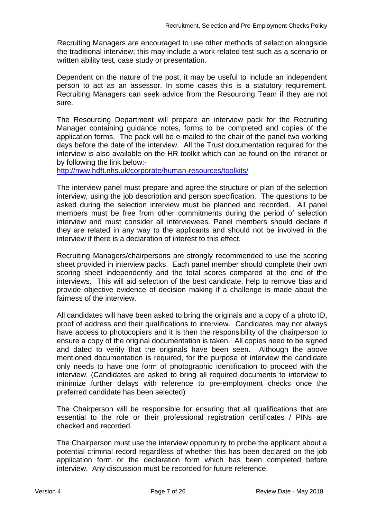Recruiting Managers are encouraged to use other methods of selection alongside the traditional interview; this may include a work related test such as a scenario or written ability test, case study or presentation.

Dependent on the nature of the post, it may be useful to include an independent person to act as an assessor. In some cases this is a statutory requirement. Recruiting Managers can seek advice from the Resourcing Team if they are not sure.

The Resourcing Department will prepare an interview pack for the Recruiting Manager containing guidance notes, forms to be completed and copies of the application forms. The pack will be e-mailed to the chair of the panel two working days before the date of the interview. All the Trust documentation required for the interview is also available on the HR toolkit which can be found on the intranet or by following the link below:-

<http://nww.hdft.nhs.uk/corporate/human-resources/toolkits/>

The interview panel must prepare and agree the structure or plan of the selection interview, using the job description and person specification. The questions to be asked during the selection interview must be planned and recorded. All panel members must be free from other commitments during the period of selection interview and must consider all interviewees. Panel members should declare if they are related in any way to the applicants and should not be involved in the interview if there is a declaration of interest to this effect.

Recruiting Managers/chairpersons are strongly recommended to use the scoring sheet provided in interview packs. Each panel member should complete their own scoring sheet independently and the total scores compared at the end of the interviews. This will aid selection of the best candidate, help to remove bias and provide objective evidence of decision making if a challenge is made about the fairness of the interview.

All candidates will have been asked to bring the originals and a copy of a photo ID, proof of address and their qualifications to interview. Candidates may not always have access to photocopiers and it is then the responsibility of the chairperson to ensure a copy of the original documentation is taken. All copies need to be signed and dated to verify that the originals have been seen. Although the above mentioned documentation is required, for the purpose of interview the candidate only needs to have one form of photographic identification to proceed with the interview. (Candidates are asked to bring all required documents to interview to minimize further delays with reference to pre-employment checks once the preferred candidate has been selected)

The Chairperson will be responsible for ensuring that all qualifications that are essential to the role or their professional registration certificates / PINs are checked and recorded.

The Chairperson must use the interview opportunity to probe the applicant about a potential criminal record regardless of whether this has been declared on the job application form or the declaration form which has been completed before interview. Any discussion must be recorded for future reference.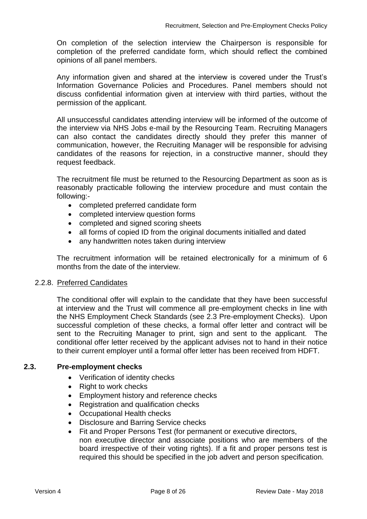On completion of the selection interview the Chairperson is responsible for completion of the preferred candidate form, which should reflect the combined opinions of all panel members.

Any information given and shared at the interview is covered under the Trust's Information Governance Policies and Procedures. Panel members should not discuss confidential information given at interview with third parties, without the permission of the applicant.

All unsuccessful candidates attending interview will be informed of the outcome of the interview via NHS Jobs e-mail by the Resourcing Team. Recruiting Managers can also contact the candidates directly should they prefer this manner of communication, however, the Recruiting Manager will be responsible for advising candidates of the reasons for rejection, in a constructive manner, should they request feedback.

The recruitment file must be returned to the Resourcing Department as soon as is reasonably practicable following the interview procedure and must contain the following:-

- completed preferred candidate form
- completed interview question forms
- completed and signed scoring sheets
- all forms of copied ID from the original documents initialled and dated
- any handwritten notes taken during interview

The recruitment information will be retained electronically for a minimum of 6 months from the date of the interview.

### <span id="page-10-0"></span>2.2.8. Preferred Candidates

The conditional offer will explain to the candidate that they have been successful at interview and the Trust will commence all pre-employment checks in line with the NHS Employment Check Standards (see 2.3 Pre-employment Checks). Upon successful completion of these checks, a formal offer letter and contract will be sent to the Recruiting Manager to print, sign and sent to the applicant. The conditional offer letter received by the applicant advises not to hand in their notice to their current employer until a formal offer letter has been received from HDFT.

### <span id="page-10-1"></span>**2.3. Pre-employment checks**

- Verification of identity checks
- Right to work checks
- Employment history and reference checks
- Registration and qualification checks
- Occupational Health checks
- Disclosure and Barring Service checks
- Fit and Proper Persons Test (for permanent or executive directors, non executive director and associate positions who are members of the board irrespective of their voting rights). If a fit and proper persons test is required this should be specified in the job advert and person specification.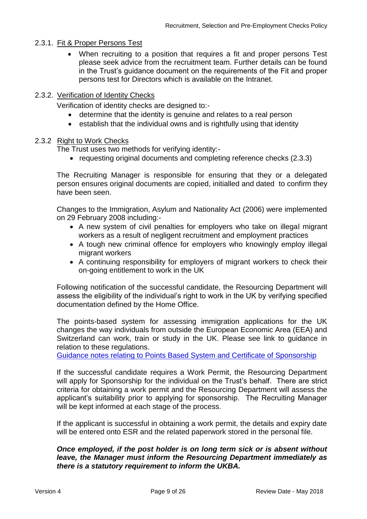## <span id="page-11-0"></span>2.3.1. Fit & Proper Persons Test

 When recruiting to a position that requires a fit and proper persons Test please seek advice from the recruitment team. Further details can be found in the Trust's guidance document on the requirements of the Fit and proper persons test for Directors which is available on the Intranet.

### 2.3.2. Verification of Identity Checks

Verification of identity checks are designed to:-

- determine that the identity is genuine and relates to a real person
- establish that the individual owns and is rightfully using that identity

#### 2.3.2 Right to Work Checks

The Trust uses two methods for verifying identity:-

• requesting original documents and completing reference checks (2.3.3)

The Recruiting Manager is responsible for ensuring that they or a delegated person ensures original documents are copied, initialled and dated to confirm they have been seen.

Changes to the Immigration, Asylum and Nationality Act (2006) were implemented on 29 February 2008 including:-

- A new system of civil penalties for employers who take on illegal migrant workers as a result of negligent recruitment and employment practices
- A tough new criminal offence for employers who knowingly employ illegal migrant workers
- A continuing responsibility for employers of migrant workers to check their on-going entitlement to work in the UK

Following notification of the successful candidate, the Resourcing Department will assess the eligibility of the individual's right to work in the UK by verifying specified documentation defined by the Home Office.

The points-based system for assessing immigration applications for the UK changes the way individuals from outside the European Economic Area (EEA) and Switzerland can work, train or study in the UK. Please see link to guidance in relation to these regulations.

[Guidance notes relating to Points Based System and Certificate of Sponsorship](https://www.gov.uk/tier-2-general/overview)

If the successful candidate requires a Work Permit, the Resourcing Department will apply for Sponsorship for the individual on the Trust's behalf. There are strict criteria for obtaining a work permit and the Resourcing Department will assess the applicant's suitability prior to applying for sponsorship. The Recruiting Manager will be kept informed at each stage of the process.

If the applicant is successful in obtaining a work permit, the details and expiry date will be entered onto ESR and the related paperwork stored in the personal file.

#### *Once employed, if the post holder is on long term sick or is absent without leave, the Manager must inform the Resourcing Department immediately as there is a statutory requirement to inform the UKBA.*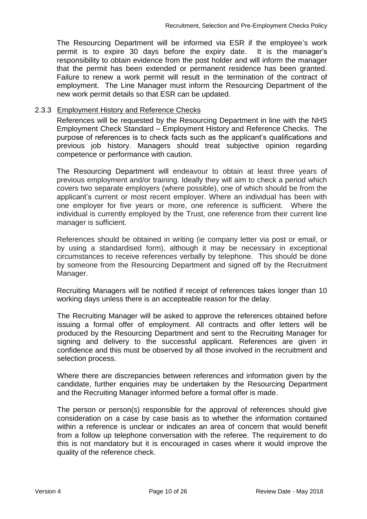The Resourcing Department will be informed via ESR if the employee's work permit is to expire 30 days before the expiry date. It is the manager's responsibility to obtain evidence from the post holder and will inform the manager that the permit has been extended or permanent residence has been granted. Failure to renew a work permit will result in the termination of the contract of employment. The Line Manager must inform the Resourcing Department of the new work permit details so that ESR can be updated.

### <span id="page-12-0"></span>2.3.3 Employment History and Reference Checks

References will be requested by the Resourcing Department in line with the NHS Employment Check Standard – Employment History and Reference Checks. The purpose of references is to check facts such as the applicant's qualifications and previous job history. Managers should treat subjective opinion regarding competence or performance with caution.

The Resourcing Department will endeavour to obtain at least three years of previous employment and/or training. Ideally they will aim to check a period which covers two separate employers (where possible), one of which should be from the applicant's current or most recent employer. Where an individual has been with one employer for five years or more, one reference is sufficient. Where the individual is currently employed by the Trust, one reference from their current line manager is sufficient.

References should be obtained in writing (ie company letter via post or email, or by using a standardised form), although it may be necessary in exceptional circumstances to receive references verbally by telephone. This should be done by someone from the Resourcing Department and signed off by the Recruitment Manager.

Recruiting Managers will be notified if receipt of references takes longer than 10 working days unless there is an accepteable reason for the delay.

The Recruiting Manager will be asked to approve the references obtained before issuing a formal offer of employment. All contracts and offer letters will be produced by the Resourcing Department and sent to the Recruiting Manager for signing and delivery to the successful applicant. References are given in confidence and this must be observed by all those involved in the recruitment and selection process.

Where there are discrepancies between references and information given by the candidate, further enquiries may be undertaken by the Resourcing Department and the Recruiting Manager informed before a formal offer is made.

The person or person(s) responsible for the approval of references should give consideration on a case by case basis as to whether the information contained within a reference is unclear or indicates an area of concern that would benefit from a follow up telephone conversation with the referee. The requirement to do this is not mandatory but it is encouraged in cases where it would improve the quality of the reference check.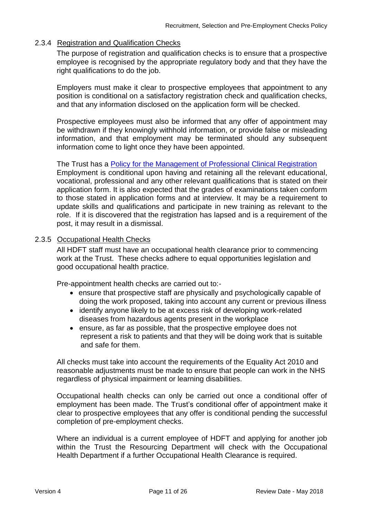## <span id="page-13-0"></span>2.3.4 Registration and Qualification Checks

The purpose of registration and qualification checks is to ensure that a prospective employee is recognised by the appropriate regulatory body and that they have the right qualifications to do the job.

Employers must make it clear to prospective employees that appointment to any position is conditional on a satisfactory registration check and qualification checks, and that any information disclosed on the application form will be checked.

Prospective employees must also be informed that any offer of appointment may be withdrawn if they knowingly withhold information, or provide false or misleading information, and that employment may be terminated should any subsequent information come to light once they have been appointed.

The Trust has a Policy [for the Management of Professional Clinical Registration](http://nww.hdft.nhs.uk/EasysiteWeb/getresource.axd?AssetID=12871&type=full&servicetype=Attachment) Employment is conditional upon having and retaining all the relevant educational, vocational, professional and any other relevant qualifications that is stated on their application form. It is also expected that the grades of examinations taken conform to those stated in application forms and at interview. It may be a requirement to update skills and qualifications and participate in new training as relevant to the role. If it is discovered that the registration has lapsed and is a requirement of the post, it may result in a dismissal.

#### <span id="page-13-1"></span>2.3.5 Occupational Health Checks

All HDFT staff must have an occupational health clearance prior to commencing work at the Trust. These checks adhere to equal opportunities legislation and good occupational health practice.

Pre-appointment health checks are carried out to:-

- ensure that prospective staff are physically and psychologically capable of doing the work proposed, taking into account any current or previous illness
- identify anyone likely to be at excess risk of developing work-related diseases from hazardous agents present in the workplace
- ensure, as far as possible, that the prospective employee does not represent a risk to patients and that they will be doing work that is suitable and safe for them.

All checks must take into account the requirements of the Equality Act 2010 and reasonable adjustments must be made to ensure that people can work in the NHS regardless of physical impairment or learning disabilities.

Occupational health checks can only be carried out once a conditional offer of employment has been made. The Trust's conditional offer of appointment make it clear to prospective employees that any offer is conditional pending the successful completion of pre-employment checks.

Where an individual is a current employee of HDFT and applying for another job within the Trust the Resourcing Department will check with the Occupational Health Department if a further Occupational Health Clearance is required.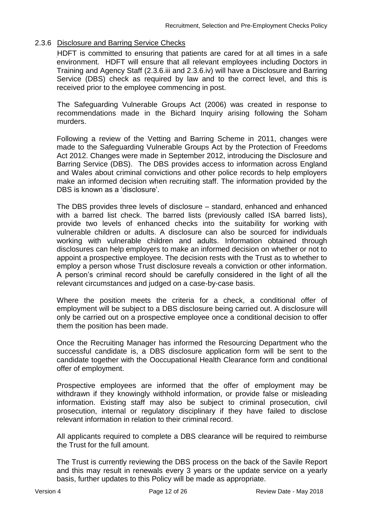## <span id="page-14-0"></span>2.3.6 Disclosure and Barring Service Checks

HDFT is committed to ensuring that patients are cared for at all times in a safe environment. HDFT will ensure that all relevant employees including Doctors in Training and Agency Staff (2.3.6.iii and 2.3.6.iv) will have a Disclosure and Barring Service (DBS) check as required by law and to the correct level, and this is received prior to the employee commencing in post.

The Safeguarding Vulnerable Groups Act (2006) was created in response to recommendations made in the Bichard Inquiry arising following the Soham murders.

Following a review of the Vetting and Barring Scheme in 2011, changes were made to the Safeguarding Vulnerable Groups Act by the Protection of Freedoms Act 2012. Changes were made in September 2012, introducing the Disclosure and Barring Service (DBS). The DBS provides access to information across England and Wales about criminal convictions and other police records to help employers make an informed decision when recruiting staff. The information provided by the DBS is known as a 'disclosure'.

The DBS provides three levels of disclosure – standard, enhanced and enhanced with a barred list check. The barred lists (previously called ISA barred lists), provide two levels of enhanced checks into the suitability for working with vulnerable children or adults. A disclosure can also be sourced for individuals working with vulnerable children and adults. Information obtained through disclosures can help employers to make an informed decision on whether or not to appoint a prospective employee. The decision rests with the Trust as to whether to employ a person whose Trust disclosure reveals a conviction or other information. A person's criminal record should be carefully considered in the light of all the relevant circumstances and judged on a case-by-case basis.

Where the position meets the criteria for a check, a conditional offer of employment will be subject to a DBS disclosure being carried out. A disclosure will only be carried out on a prospective employee once a conditional decision to offer them the position has been made.

Once the Recruiting Manager has informed the Resourcing Department who the successful candidate is, a DBS disclosure application form will be sent to the candidate together with the Ooccupational Health Clearance form and conditional offer of employment.

Prospective employees are informed that the offer of employment may be withdrawn if they knowingly withhold information, or provide false or misleading information. Existing staff may also be subject to criminal prosecution, civil prosecution, internal or regulatory disciplinary if they have failed to disclose relevant information in relation to their criminal record.

All applicants required to complete a DBS clearance will be required to reimburse the Trust for the full amount.

The Trust is currently reviewing the DBS process on the back of the Savile Report and this may result in renewals every 3 years or the update service on a yearly basis, further updates to this Policy will be made as appropriate.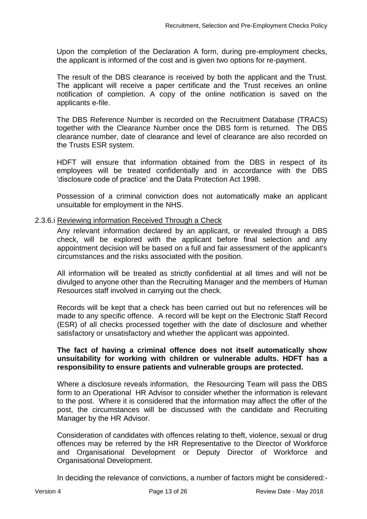Upon the completion of the Declaration A form, during pre-employment checks, the applicant is informed of the cost and is given two options for re-payment.

The result of the DBS clearance is received by both the applicant and the Trust. The applicant will receive a paper certificate and the Trust receives an online notification of completion. A copy of the online notification is saved on the applicants e-file.

The DBS Reference Number is recorded on the Recruitment Database (TRACS) together with the Clearance Number once the DBS form is returned. The DBS clearance number, date of clearance and level of clearance are also recorded on the Trusts ESR system.

HDFT will ensure that information obtained from the DBS in respect of its employees will be treated confidentially and in accordance with the DBS 'disclosure code of practice' and the Data Protection Act 1998.

Possession of a criminal conviction does not automatically make an applicant unsuitable for employment in the NHS.

#### <span id="page-15-0"></span>2.3.6.i Reviewing information Received Through a Check

Any relevant information declared by an applicant, or revealed through a DBS check, will be explored with the applicant before final selection and any appointment decision will be based on a full and fair assessment of the applicant's circumstances and the risks associated with the position.

All information will be treated as strictly confidential at all times and will not be divulged to anyone other than the Recruiting Manager and the members of Human Resources staff involved in carrying out the check.

Records will be kept that a check has been carried out but no references will be made to any specific offence. A record will be kept on the Electronic Staff Record (ESR) of all checks processed together with the date of disclosure and whether satisfactory or unsatisfactory and whether the applicant was appointed.

#### **The fact of having a criminal offence does not itself automatically show unsuitability for working with children or vulnerable adults. HDFT has a responsibility to ensure patients and vulnerable groups are protected.**

Where a disclosure reveals information, the Resourcing Team will pass the DBS form to an Operational HR Advisor to consider whether the information is relevant to the post. Where it is considered that the information may affect the offer of the post, the circumstances will be discussed with the candidate and Recruiting Manager by the HR Advisor.

Consideration of candidates with offences relating to theft, violence, sexual or drug offences may be referred by the HR Representative to the Director of Workforce and Organisational Development or Deputy Director of Workforce and Organisational Development.

In deciding the relevance of convictions, a number of factors might be considered:-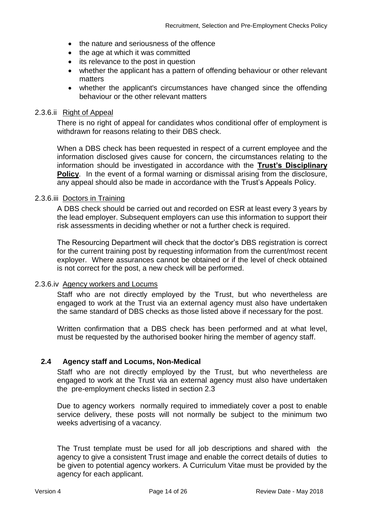- the nature and seriousness of the offence
- the age at which it was committed
- its relevance to the post in question
- whether the applicant has a pattern of offending behaviour or other relevant matters
- whether the applicant's circumstances have changed since the offending behaviour or the other relevant matters

#### <span id="page-16-0"></span>2.3.6.ii Right of Appeal

There is no right of appeal for candidates whos conditional offer of employment is withdrawn for reasons relating to their DBS check.

When a DBS check has been requested in respect of a current employee and the information disclosed gives cause for concern, the circumstances relating to the information should be investigated in accordance with the **[Trust's Disciplinary](http://nww.hdft.nhs.uk/EasysiteWeb/getresource.axd?AssetID=1544&type=full&servicetype=Attachment)  [Policy](http://nww.hdft.nhs.uk/EasysiteWeb/getresource.axd?AssetID=1544&type=full&servicetype=Attachment)**. In the event of a formal warning or dismissal arising from the disclosure, any appeal should also be made in accordance with the Trust's Appeals Policy.

### <span id="page-16-1"></span>2.3.6.iii Doctors in Training

A DBS check should be carried out and recorded on ESR at least every 3 years by the lead employer. Subsequent employers can use this information to support their risk assessments in deciding whether or not a further check is required.

The Resourcing Department will check that the doctor's DBS registration is correct for the current training post by requesting information from the current/most recent exployer. Where assurances cannot be obtained or if the level of check obtained is not correct for the post, a new check will be performed.

#### <span id="page-16-2"></span>2.3.6.iv Agency workers and Locums

Staff who are not directly employed by the Trust, but who nevertheless are engaged to work at the Trust via an external agency must also have undertaken the same standard of DBS checks as those listed above if necessary for the post.

Written confirmation that a DBS check has been performed and at what level, must be requested by the authorised booker hiring the member of agency staff.

### <span id="page-16-3"></span>**2.4 Agency staff and Locums, Non-Medical**

Staff who are not directly employed by the Trust, but who nevertheless are engaged to work at the Trust via an external agency must also have undertaken the pre-employment checks listed in section 2.3

Due to agency workers normally required to immediately cover a post to enable service delivery, these posts will not normally be subject to the minimum two weeks advertising of a vacancy.

The Trust template must be used for all job descriptions and shared with the agency to give a consistent Trust image and enable the correct details of duties to be given to potential agency workers. A Curriculum Vitae must be provided by the agency for each applicant.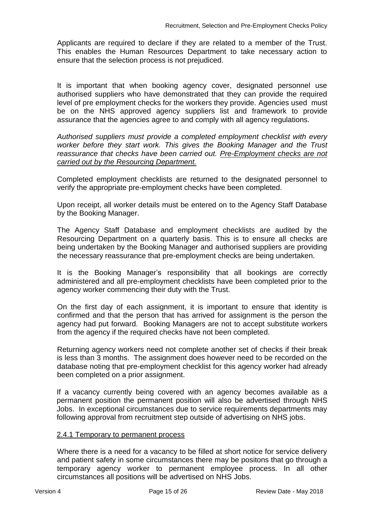Applicants are required to declare if they are related to a member of the Trust. This enables the Human Resources Department to take necessary action to ensure that the selection process is not prejudiced.

It is important that when booking agency cover, designated personnel use authorised suppliers who have demonstrated that they can provide the required level of pre employment checks for the workers they provide. Agencies used must be on the NHS approved agency suppliers list and framework to provide assurance that the agencies agree to and comply with all agency regulations.

*Authorised suppliers must provide a completed employment checklist with every worker before they start work. This gives the Booking Manager and the Trust reassurance that checks have been carried out. Pre-Employment checks are not carried out by the Resourcing Department.* 

Completed employment checklists are returned to the designated personnel to verify the appropriate pre-employment checks have been completed.

Upon receipt, all worker details must be entered on to the Agency Staff Database by the Booking Manager.

The Agency Staff Database and employment checklists are audited by the Resourcing Department on a quarterly basis. This is to ensure all checks are being undertaken by the Booking Manager and authorised suppliers are providing the necessary reassurance that pre-employment checks are being undertaken.

It is the Booking Manager's responsibility that all bookings are correctly administered and all pre-employment checklists have been completed prior to the agency worker commencing their duty with the Trust.

On the first day of each assignment, it is important to ensure that identity is confirmed and that the person that has arrived for assignment is the person the agency had put forward. Booking Managers are not to accept substitute workers from the agency if the required checks have not been completed.

Returning agency workers need not complete another set of checks if their break is less than 3 months. The assignment does however need to be recorded on the database noting that pre-employment checklist for this agency worker had already been completed on a prior assignment.

If a vacancy currently being covered with an agency becomes available as a permanent position the permanent position will also be advertised through NHS Jobs. In exceptional circumstances due to service requirements departments may following approval from recruitment step outside of advertising on NHS jobs.

### 2.4.1 Temporary to permanent process

Where there is a need for a vacancy to be filled at short notice for service delivery and patient safety in some circumstances there may be positons that go through a temporary agency worker to permanent employee process. In all other circumstances all positions will be advertised on NHS Jobs.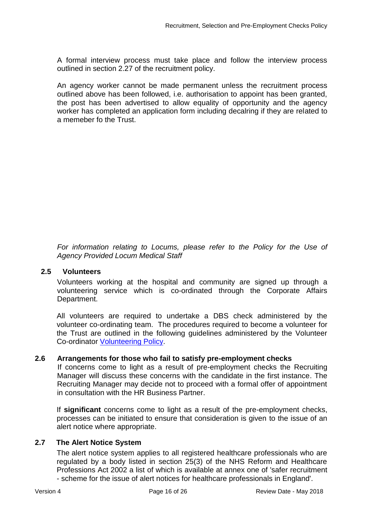A formal interview process must take place and follow the interview process outlined in section 2.27 of the recruitment policy.

An agency worker cannot be made permanent unless the recruitment process outlined above has been followed, i.e. authorisation to appoint has been granted, the post has been advertised to allow equality of opportunity and the agency worker has completed an application form including decalring if they are related to a memeber fo the Trust.

*For information relating to Locums, please refer to the Policy for the Use of Agency Provided Locum Medical Staff*

### <span id="page-18-0"></span>**2.5 Volunteers**

Volunteers working at the hospital and community are signed up through a volunteering service which is co-ordinated through the Corporate Affairs Department.

All volunteers are required to undertake a DBS check administered by the volunteer co-ordinating team. The procedures required to become a volunteer for the Trust are outlined in the following guidelines administered by the Volunteer Co-ordinator [Volunteering Policy.](http://nww.hdft.nhs.uk/EasysiteWeb/getresource.axd?AssetID=30548&type=full&servicetype=Attachment)

## <span id="page-18-1"></span>**2.6 Arrangements for those who fail to satisfy pre-employment checks**

If concerns come to light as a result of pre-employment checks the Recruiting Manager will discuss these concerns with the candidate in the first instance. The Recruiting Manager may decide not to proceed with a formal offer of appointment in consultation with the HR Business Partner.

If **significant** concerns come to light as a result of the pre-employment checks, processes can be initiated to ensure that consideration is given to the issue of an alert notice where appropriate.

## **2.7 The Alert Notice System**

<span id="page-18-2"></span>The alert notice system applies to all registered healthcare professionals who are regulated by a body listed in section 25(3) of the NHS Reform and Healthcare Professions Act 2002 a list of which is available at annex one of 'safer recruitment

- scheme for the issue of alert notices for healthcare professionals in England'.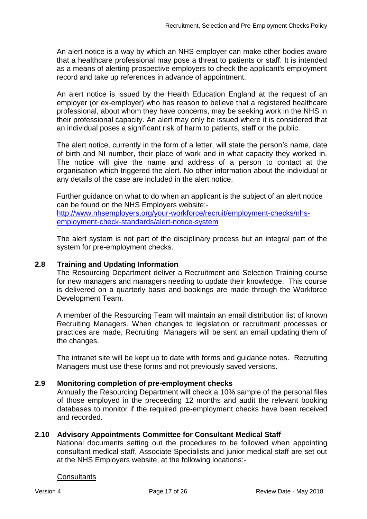An alert notice is a way by which an NHS employer can make other bodies aware that a healthcare professional may pose a threat to patients or staff. It is intended as a means of alerting prospective employers to check the applicant's employment record and take up references in advance of appointment.

An alert notice is issued by the Health Education England at the request of an employer (or ex-employer) who has reason to believe that a registered healthcare professional, about whom they have concerns, may be seeking work in the NHS in their professional capacity. An alert may only be issued where it is considered that an individual poses a significant risk of harm to patients, staff or the public.

The alert notice, currently in the form of a letter, will state the person's name, date of birth and NI number, their place of work and in what capacity they worked in. The notice will give the name and address of a person to contact at the organisation which triggered the alert. No other information about the individual or any details of the case are included in the alert notice.

Further guidance on what to do when an applicant is the subject of an alert notice can be found on the NHS Employers website:-

[http://www.nhsemployers.org/your-workforce/recruit/employment-checks/nhs](http://www.nhsemployers.org/your-workforce/recruit/employment-checks/nhs-employment-check-standards/alert-notice-system)[employment-check-standards/alert-notice-system](http://www.nhsemployers.org/your-workforce/recruit/employment-checks/nhs-employment-check-standards/alert-notice-system)

The alert system is not part of the disciplinary process but an integral part of the system for pre-employment checks.

## <span id="page-19-0"></span>**2.8 Training and Updating Information**

The Resourcing Department deliver a Recruitment and Selection Training course for new managers and managers needing to update their knowledge. This course is delivered on a quarterly basis and bookings are made through the Workforce Development Team.

A member of the Resourcing Team will maintain an email distribution list of known Recruiting Managers. When changes to legislation or recruitment processes or practices are made, Recruiting Managers will be sent an email updating them of the changes.

The intranet site will be kept up to date with forms and guidance notes. Recruiting Managers must use these forms and not previously saved versions.

### <span id="page-19-1"></span>**2.9 Monitoring completion of pre-employment checks**

Annually the Resourcing Department will check a 10% sample of the personal files of those employed in the preceeding 12 months and audit the relevant booking databases to monitor if the required pre-employment checks have been received and recorded.

### <span id="page-19-2"></span>**2.10 Advisory Appointments Committee for Consultant Medical Staff**

National documents setting out the procedures to be followed when appointing consultant medical staff, Associate Specialists and junior medical staff are set out at the NHS Employers website, at the following locations:-

#### **Consultants**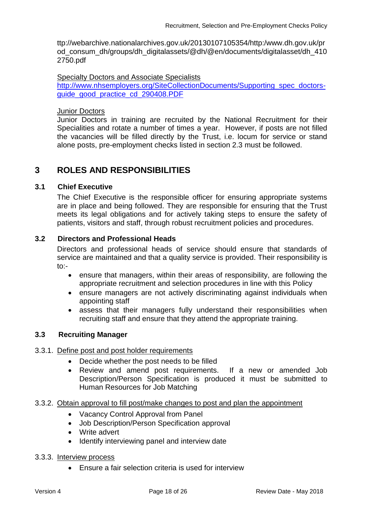ttp://webarchive.nationalarchives.gov.uk/20130107105354/http:/www.dh.gov.uk/pr od\_consum\_dh/groups/dh\_digitalassets/@dh/@en/documents/digitalasset/dh\_410 2750.pdf

Specialty Doctors and Associate Specialists

[http://www.nhsemployers.org/SiteCollectionDocuments/Supporting\\_spec\\_doctors](http://www.nhsemployers.org/SiteCollectionDocuments/Supporting_spec_doctors-guide_good_practice_cd_290408.PDF)[guide\\_good\\_practice\\_cd\\_290408.PDF](http://www.nhsemployers.org/SiteCollectionDocuments/Supporting_spec_doctors-guide_good_practice_cd_290408.PDF)

Junior Doctors

Junior Doctors in training are recruited by the National Recruitment for their Specialities and rotate a number of times a year. However, if posts are not filled the vacancies will be filled directly by the Trust, i.e. locum for service or stand alone posts, pre-employment checks listed in section 2.3 must be followed.

## <span id="page-20-0"></span>**3 ROLES AND RESPONSIBILITIES**

### <span id="page-20-1"></span>**3.1 Chief Executive**

The Chief Executive is the responsible officer for ensuring appropriate systems are in place and being followed. They are responsible for ensuring that the Trust meets its legal obligations and for actively taking steps to ensure the safety of patients, visitors and staff, through robust recruitment policies and procedures.

#### <span id="page-20-2"></span>**3.2 Directors and Professional Heads**

Directors and professional heads of service should ensure that standards of service are maintained and that a quality service is provided. Their responsibility is to:-

- ensure that managers, within their areas of responsibility, are following the appropriate recruitment and selection procedures in line with this Policy
- ensure managers are not actively discriminating against individuals when appointing staff
- <span id="page-20-3"></span> assess that their managers fully understand their responsibilities when recruiting staff and ensure that they attend the appropriate training.

### **3.3 Recruiting Manager**

#### <span id="page-20-4"></span>3.3.1. Define post and post holder requirements

- Decide whether the post needs to be filled
- Review and amend post requirements. If a new or amended Job Description/Person Specification is produced it must be submitted to Human Resources for Job Matching

#### <span id="page-20-5"></span>3.3.2. Obtain approval to fill post/make changes to post and plan the appointment

- Vacancy Control Approval from Panel
- Job Description/Person Specification approval
- Write advert
- Identify interviewing panel and interview date

#### <span id="page-20-6"></span>3.3.3. Interview process

Ensure a fair selection criteria is used for interview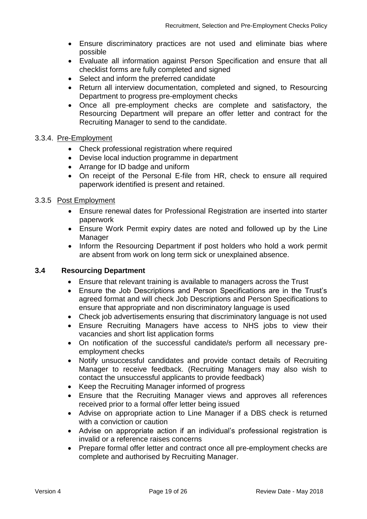- Ensure discriminatory practices are not used and eliminate bias where possible
- Evaluate all information against Person Specification and ensure that all checklist forms are fully completed and signed
- Select and inform the preferred candidate
- Return all interview documentation, completed and signed, to Resourcing Department to progress pre-employment checks
- Once all pre-employment checks are complete and satisfactory, the Resourcing Department will prepare an offer letter and contract for the Recruiting Manager to send to the candidate.

### <span id="page-21-0"></span>3.3.4. Pre-Employment

- Check professional registration where required
- Devise local induction programme in department
- Arrange for ID badge and uniform
- On receipt of the Personal E-file from HR, check to ensure all required paperwork identified is present and retained.

#### <span id="page-21-1"></span>3.3.5 Post Employment

- Ensure renewal dates for Professional Registration are inserted into starter paperwork
- Ensure Work Permit expiry dates are noted and followed up by the Line Manager
- Inform the Resourcing Department if post holders who hold a work permit are absent from work on long term sick or unexplained absence.

#### **3.4 Resourcing Department**

- <span id="page-21-2"></span>Ensure that relevant training is available to managers across the Trust
- Ensure the Job Descriptions and Person Specifications are in the Trust's agreed format and will check Job Descriptions and Person Specifications to ensure that appropriate and non discriminatory language is used
- Check job advertisements ensuring that discriminatory language is not used
- Ensure Recruiting Managers have access to NHS jobs to view their vacancies and short list application forms
- On notification of the successful candidate/s perform all necessary preemployment checks
- Notify unsuccessful candidates and provide contact details of Recruiting Manager to receive feedback. (Recruiting Managers may also wish to contact the unsuccessful applicants to provide feedback)
- Keep the Recruiting Manager informed of progress
- Ensure that the Recruiting Manager views and approves all references received prior to a formal offer letter being issued
- Advise on appropriate action to Line Manager if a DBS check is returned with a conviction or caution
- Advise on appropriate action if an individual's professional registration is invalid or a reference raises concerns
- Prepare formal offer letter and contract once all pre-employment checks are complete and authorised by Recruiting Manager.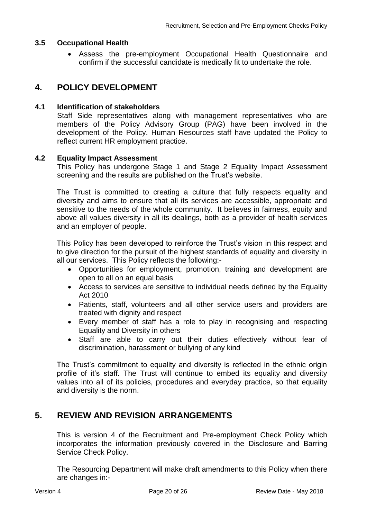#### <span id="page-22-0"></span>**3.5 Occupational Health**

 Assess the pre-employment Occupational Health Questionnaire and confirm if the successful candidate is medically fit to undertake the role.

## <span id="page-22-1"></span>**4. POLICY DEVELOPMENT**

#### <span id="page-22-2"></span>**4.1 Identification of stakeholders**

Staff Side representatives along with management representatives who are members of the Policy Advisory Group (PAG) have been involved in the development of the Policy. Human Resources staff have updated the Policy to reflect current HR employment practice.

#### <span id="page-22-3"></span>**4.2 Equality Impact Assessment**

This Policy has undergone Stage 1 and Stage 2 Equality Impact Assessment screening and the results are published on the Trust's website.

The Trust is committed to creating a culture that fully respects equality and diversity and aims to ensure that all its services are accessible, appropriate and sensitive to the needs of the whole community. It believes in fairness, equity and above all values diversity in all its dealings, both as a provider of health services and an employer of people.

This Policy has been developed to reinforce the Trust's vision in this respect and to give direction for the pursuit of the highest standards of equality and diversity in all our services. This Policy reflects the following:-

- Opportunities for employment, promotion, training and development are open to all on an equal basis
- Access to services are sensitive to individual needs defined by the Equality Act 2010
- Patients, staff, volunteers and all other service users and providers are treated with dignity and respect
- Every member of staff has a role to play in recognising and respecting Equality and Diversity in others
- Staff are able to carry out their duties effectively without fear of discrimination, harassment or bullying of any kind

The Trust's commitment to equality and diversity is reflected in the ethnic origin profile of it's staff. The Trust will continue to embed its equality and diversity values into all of its policies, procedures and everyday practice, so that equality and diversity is the norm.

## <span id="page-22-4"></span>**5. REVIEW AND REVISION ARRANGEMENTS**

This is version 4 of the Recruitment and Pre-employment Check Policy which incorporates the information previously covered in the Disclosure and Barring Service Check Policy.

The Resourcing Department will make draft amendments to this Policy when there are changes in:-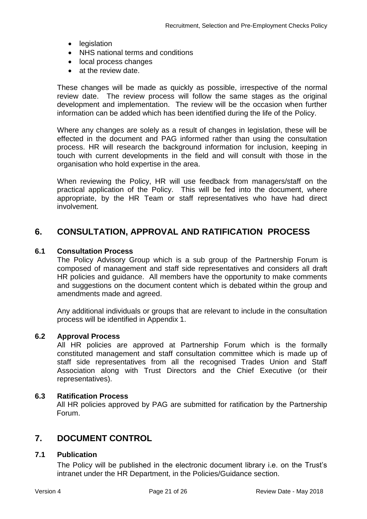- legislation
- NHS national terms and conditions
- local process changes
- at the review date.

These changes will be made as quickly as possible, irrespective of the normal review date. The review process will follow the same stages as the original development and implementation. The review will be the occasion when further information can be added which has been identified during the life of the Policy.

Where any changes are solely as a result of changes in legislation, these will be effected in the document and PAG informed rather than using the consultation process. HR will research the background information for inclusion, keeping in touch with current developments in the field and will consult with those in the organisation who hold expertise in the area.

When reviewing the Policy, HR will use feedback from managers/staff on the practical application of the Policy. This will be fed into the document, where appropriate, by the HR Team or staff representatives who have had direct involvement.

## <span id="page-23-0"></span>**6. CONSULTATION, APPROVAL AND RATIFICATION PROCESS**

#### <span id="page-23-1"></span>**6.1 Consultation Process**

The Policy Advisory Group which is a sub group of the Partnership Forum is composed of management and staff side representatives and considers all draft HR policies and guidance. All members have the opportunity to make comments and suggestions on the document content which is debated within the group and amendments made and agreed.

Any additional individuals or groups that are relevant to include in the consultation process will be identified in Appendix 1.

#### <span id="page-23-2"></span>**6.2 Approval Process**

All HR policies are approved at Partnership Forum which is the formally constituted management and staff consultation committee which is made up of staff side representatives from all the recognised Trades Union and Staff Association along with Trust Directors and the Chief Executive (or their representatives).

#### <span id="page-23-3"></span>**6.3 Ratification Process**

All HR policies approved by PAG are submitted for ratification by the Partnership Forum.

## <span id="page-23-4"></span>**7. DOCUMENT CONTROL**

#### <span id="page-23-5"></span>**7.1 Publication**

The Policy will be published in the electronic document library i.e. on the Trust's intranet under the HR Department, in the Policies/Guidance section.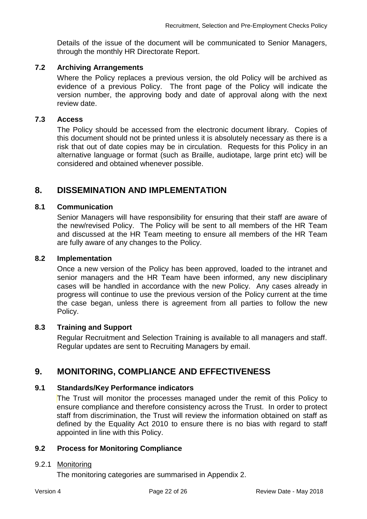Details of the issue of the document will be communicated to Senior Managers, through the monthly HR Directorate Report.

### <span id="page-24-0"></span>**7.2 Archiving Arrangements**

Where the Policy replaces a previous version, the old Policy will be archived as evidence of a previous Policy. The front page of the Policy will indicate the version number, the approving body and date of approval along with the next review date.

#### <span id="page-24-1"></span>**7.3 Access**

The Policy should be accessed from the electronic document library. Copies of this document should not be printed unless it is absolutely necessary as there is a risk that out of date copies may be in circulation. Requests for this Policy in an alternative language or format (such as Braille, audiotape, large print etc) will be considered and obtained whenever possible.

## <span id="page-24-2"></span>**8. DISSEMINATION AND IMPLEMENTATION**

## <span id="page-24-3"></span>**8.1 Communication**

Senior Managers will have responsibility for ensuring that their staff are aware of the new/revised Policy. The Policy will be sent to all members of the HR Team and discussed at the HR Team meeting to ensure all members of the HR Team are fully aware of any changes to the Policy.

#### <span id="page-24-4"></span>**8.2 Implementation**

Once a new version of the Policy has been approved, loaded to the intranet and senior managers and the HR Team have been informed, any new disciplinary cases will be handled in accordance with the new Policy. Any cases already in progress will continue to use the previous version of the Policy current at the time the case began, unless there is agreement from all parties to follow the new Policy.

#### <span id="page-24-5"></span>**8.3 Training and Support**

Regular Recruitment and Selection Training is available to all managers and staff. Regular updates are sent to Recruiting Managers by email.

## <span id="page-24-6"></span>**9. MONITORING, COMPLIANCE AND EFFECTIVENESS**

## <span id="page-24-7"></span>**9.1 Standards/Key Performance indicators**

The Trust will monitor the processes managed under the remit of this Policy to ensure compliance and therefore consistency across the Trust. In order to protect staff from discrimination, the Trust will review the information obtained on staff as defined by the Equality Act 2010 to ensure there is no bias with regard to staff appointed in line with this Policy.

### <span id="page-24-8"></span>**9.2 Process for Monitoring Compliance**

### <span id="page-24-9"></span>9.2.1 Monitoring

The monitoring categories are summarised in Appendix 2.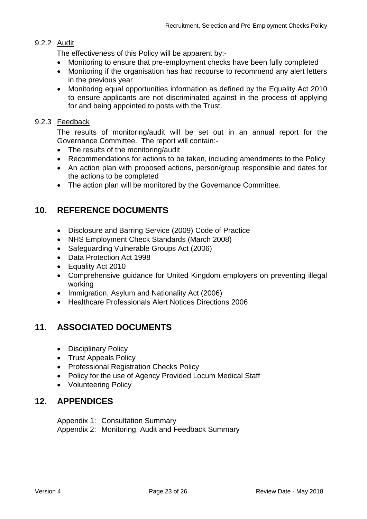## <span id="page-25-0"></span>9.2.2 Audit

The effectiveness of this Policy will be apparent by:-

- Monitoring to ensure that pre-employment checks have been fully completed
- Monitoring if the organisation has had recourse to recommend any alert letters in the previous year
- Monitoring equal opportunities information as defined by the Equality Act 2010 to ensure applicants are not discriminated against in the process of applying for and being appointed to posts with the Trust.

## <span id="page-25-1"></span>9.2.3 Feedback

The results of monitoring/audit will be set out in an annual report for the Governance Committee. The report will contain:-

- The results of the monitoring/audit
- Recommendations for actions to be taken, including amendments to the Policy
- An action plan with proposed actions, person/group responsible and dates for the actions to be completed
- The action plan will be monitored by the Governance Committee.

## <span id="page-25-2"></span>**10. REFERENCE DOCUMENTS**

- Disclosure and Barring Service (2009) Code of Practice
- NHS Employment Check Standards (March 2008)
- Safeguarding Vulnerable Groups Act (2006)
- Data Protection Act 1998
- Equality Act 2010
- Comprehensive guidance for United Kingdom employers on preventing illegal working
- Immigration, Asylum and Nationality Act (2006)
- Healthcare Professionals Alert Notices Directions 2006

## <span id="page-25-3"></span>**11. ASSOCIATED DOCUMENTS**

- Disciplinary Policy
- Trust Appeals Policy
- Professional Registration Checks Policy
- Policy for the use of Agency Provided Locum Medical Staff
- Volunteering Policy

## <span id="page-25-4"></span>**12. APPENDICES**

Appendix 1: Consultation Summary Appendix 2: Monitoring, Audit and Feedback Summary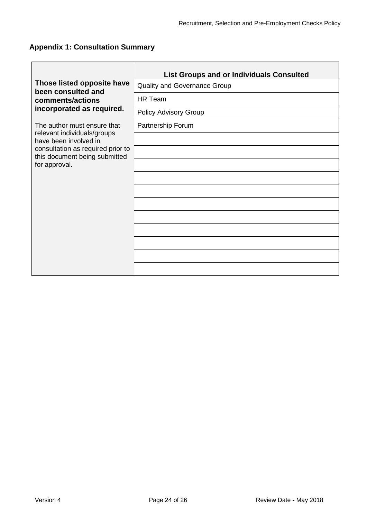$\overline{\phantom{a}}$ 

# <span id="page-26-0"></span>**Appendix 1: Consultation Summary**

|                                                                    | <b>List Groups and or Individuals Consulted</b> |
|--------------------------------------------------------------------|-------------------------------------------------|
| Those listed opposite have<br>been consulted and                   | <b>Quality and Governance Group</b>             |
| comments/actions                                                   | <b>HR Team</b>                                  |
| incorporated as required.                                          | Policy Advisory Group                           |
| The author must ensure that                                        | Partnership Forum                               |
| relevant individuals/groups<br>have been involved in               |                                                 |
| consultation as required prior to<br>this document being submitted |                                                 |
| for approval.                                                      |                                                 |
|                                                                    |                                                 |
|                                                                    |                                                 |
|                                                                    |                                                 |
|                                                                    |                                                 |
|                                                                    |                                                 |
|                                                                    |                                                 |
|                                                                    |                                                 |
|                                                                    |                                                 |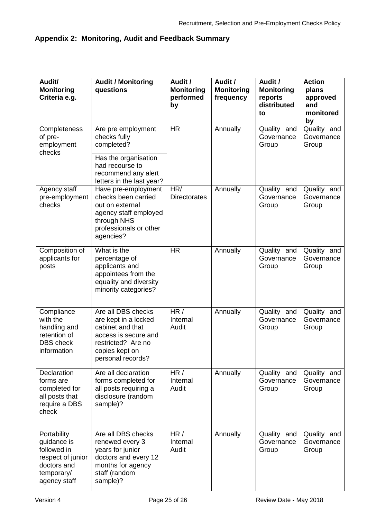# <span id="page-27-0"></span>**Appendix 2: Monitoring, Audit and Feedback Summary**

| Audit/<br><b>Monitoring</b><br>Criteria e.g.                                                                | <b>Audit / Monitoring</b><br>questions                                                                                                              | Audit /<br><b>Monitoring</b><br>performed<br>by | Audit /<br><b>Monitoring</b><br>frequency | Audit /<br><b>Monitoring</b><br>reports<br>distributed<br>to | <b>Action</b><br>plans<br>approved<br>and<br>monitored<br>by |
|-------------------------------------------------------------------------------------------------------------|-----------------------------------------------------------------------------------------------------------------------------------------------------|-------------------------------------------------|-------------------------------------------|--------------------------------------------------------------|--------------------------------------------------------------|
| Completeness<br>of pre-<br>employment<br>checks                                                             | Are pre employment<br>checks fully<br>completed?                                                                                                    | <b>HR</b>                                       | Annually                                  | Quality and<br>Governance<br>Group                           | Quality and<br>Governance<br>Group                           |
|                                                                                                             | Has the organisation<br>had recourse to<br>recommend any alert<br>letters in the last year?                                                         |                                                 |                                           |                                                              |                                                              |
| Agency staff<br>pre-employment<br>checks                                                                    | Have pre-employment<br>checks been carried<br>out on external<br>agency staff employed<br>through NHS<br>professionals or other<br>agencies?        | HR/<br><b>Directorates</b>                      | Annually                                  | Quality and<br>Governance<br>Group                           | Quality and<br>Governance<br>Group                           |
| Composition of<br>applicants for<br>posts                                                                   | What is the<br>percentage of<br>applicants and<br>appointees from the<br>equality and diversity<br>minority categories?                             | <b>HR</b>                                       | Annually                                  | Quality and<br>Governance<br>Group                           | Quality and<br>Governance<br>Group                           |
| Compliance<br>with the<br>handling and<br>retention of<br><b>DBS</b> check<br>information                   | Are all DBS checks<br>are kept in a locked<br>cabinet and that<br>access is secure and<br>restricted? Are no<br>copies kept on<br>personal records? | HR/<br>Internal<br>Audit                        | Annually                                  | Quality and<br>Governance<br>Group                           | Quality and<br>Governance<br>Group                           |
| Declaration<br>forms are<br>completed for<br>all posts that<br>require a DBS<br>check                       | Are all declaration<br>forms completed for<br>all posts requiring a<br>disclosure (random<br>sample)?                                               | HR/<br>Internal<br>Audit                        | Annually                                  | Quality and<br>Governance<br>Group                           | Quality and<br>Governance<br>Group                           |
| Portability<br>guidance is<br>followed in<br>respect of junior<br>doctors and<br>temporary/<br>agency staff | Are all DBS checks<br>renewed every 3<br>years for junior<br>doctors and every 12<br>months for agency<br>staff (random<br>sample)?                 | HR /<br>Internal<br>Audit                       | Annually                                  | Quality and<br>Governance<br>Group                           | Quality and<br>Governance<br>Group                           |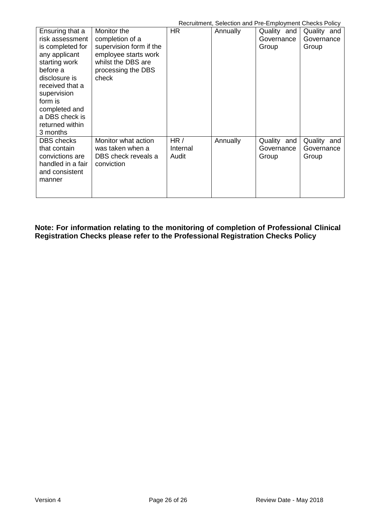| Recruitment, Selection and Pre-Employment Checks Policy |  |  |  |  |  |  |  |
|---------------------------------------------------------|--|--|--|--|--|--|--|
|---------------------------------------------------------|--|--|--|--|--|--|--|

| Ensuring that a<br>risk assessment<br>is completed for<br>any applicant<br>starting work<br>before a<br>disclosure is<br>received that a<br>supervision<br>form is<br>completed and | Monitor the<br>completion of a<br>supervision form if the<br>employee starts work<br>whilst the DBS are<br>processing the DBS<br>check | HR                       | <u>RUCHMINICHI, OCICCINI MINT TO EMPIOYMICHI ONCORS FOIICY</u><br>Annually | Quality and<br>Governance<br>Group | Quality and<br>Governance<br>Group |
|-------------------------------------------------------------------------------------------------------------------------------------------------------------------------------------|----------------------------------------------------------------------------------------------------------------------------------------|--------------------------|----------------------------------------------------------------------------|------------------------------------|------------------------------------|
| a DBS check is<br>returned within<br>3 months<br><b>DBS</b> checks<br>that contain<br>convictions are<br>handled in a fair<br>and consistent<br>manner                              | Monitor what action<br>was taken when a<br>DBS check reveals a<br>conviction                                                           | HR/<br>Internal<br>Audit | Annually                                                                   | Quality and<br>Governance<br>Group | Quality and<br>Governance<br>Group |

**Note: For information relating to the monitoring of completion of Professional Clinical Registration Checks please refer to the Professional Registration Checks Policy**